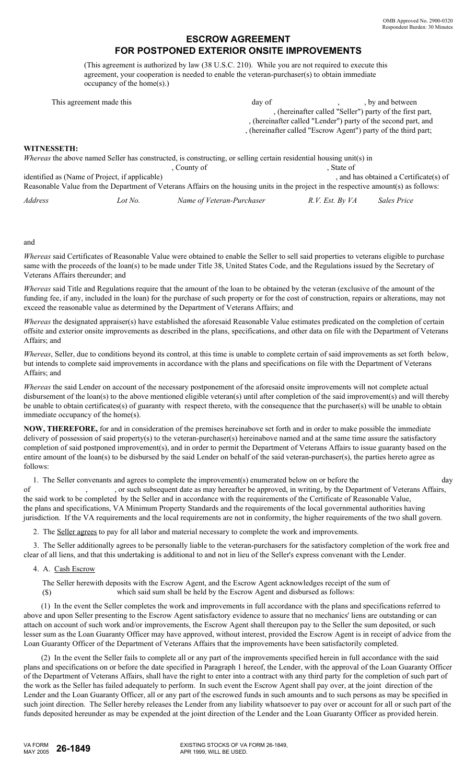# **ESCROW AGREEMENT FOR POSTPONED EXTERIOR ONSITE IMPROVEMENTS**

(This agreement is authorized by law (38 U.S.C. 210). While you are not required to execute this agreement, your cooperation is needed to enable the veteran-purchaser(s) to obtain immediate occupancy of the home(s).)

|             | This agreement made this                       | day of                                                                                                                               |                                                                | , by and between                       |
|-------------|------------------------------------------------|--------------------------------------------------------------------------------------------------------------------------------------|----------------------------------------------------------------|----------------------------------------|
|             |                                                |                                                                                                                                      | , (hereinafter called "Seller") party of the first part,       |                                        |
|             |                                                |                                                                                                                                      | , (hereinafter called "Lender") party of the second part, and  |                                        |
|             |                                                |                                                                                                                                      | , (hereinafter called "Escrow Agent") party of the third part; |                                        |
| WITNESSETH: |                                                |                                                                                                                                      |                                                                |                                        |
|             |                                                | <i>Whereas</i> the above named Seller has constructed, is constructing, or selling certain residential housing unit(s) in            |                                                                |                                        |
|             |                                                | . County of                                                                                                                          | . State of                                                     |                                        |
|             | identified as (Name of Project, if applicable) |                                                                                                                                      |                                                                | , and has obtained a Certificate(s) of |
|             |                                                | Reasonable Value from the Department of Veterans Affairs on the housing units in the project in the respective amount(s) as follows: |                                                                |                                        |
| Address     | Lot No.                                        | Name of Veteran-Purchaser                                                                                                            | R.V. Est. By VA                                                | Sales Price                            |

### and

*Whereas* said Certificates of Reasonable Value were obtained to enable the Seller to sell said properties to veterans eligible to purchase same with the proceeds of the loan(s) to be made under Title 38, United States Code, and the Regulations issued by the Secretary of Veterans Affairs thereunder; and

*Whereas* said Title and Regulations require that the amount of the loan to be obtained by the veteran (exclusive of the amount of the funding fee, if any, included in the loan) for the purchase of such property or for the cost of construction, repairs or alterations, may not exceed the reasonable value as determined by the Department of Veterans Affairs; and

*Whereas* the designated appraiser(s) have established the aforesaid Reasonable Value estimates predicated on the completion of certain offsite and exterior onsite improvements as described in the plans, specifications, and other data on file with the Department of Veterans Affairs; and

*Whereas*, Seller, due to conditions beyond its control, at this time is unable to complete certain of said improvements as set forth below, but intends to complete said improvements in accordance with the plans and specifications on file with the Department of Veterans Affairs; and

*Whereas* the said Lender on account of the necessary postponement of the aforesaid onsite improvements will not complete actual disbursement of the loan(s) to the above mentioned eligible veteran(s) until after completion of the said improvement(s) and will thereby be unable to obtain certificates(s) of guaranty with respect thereto, with the consequence that the purchaser(s) will be unable to obtain immediate occupancy of the home(s).

**NOW, THEREFORE,** for and in consideration of the premises hereinabove set forth and in order to make possible the immediate delivery of possession of said property(s) to the veteran-purchaser(s) hereinabove named and at the same time assure the satisfactory completion of said postponed improvement(s), and in order to permit the Department of Veterans Affairs to issue guaranty based on the entire amount of the loan(s) to be disbursed by the said Lender on behalf of the said veteran-purchaser(s), the parties hereto agree as follows:

1. The Seller convenants and agrees to complete the improvement(s) enumerated below on or before the of , or such subsequent date as may hereafter be approved, in writing, by the Department of Veterans Affairs, the said work to be completed by the Seller and in accordance with the requirements of the Certificate of Reasonable Value, the plans and specifications, VA Minimum Property Standards and the requirements of the local governmental authorities having jurisdiction. If the VA requirements and the local requirements are not in conformity, the higher requirements of the two shall govern. day

2. The Seller agrees to pay for all labor and material necessary to complete the work and improvements.

 3. The Seller additionally agrees to be personally liable to the veteran-purchasers for the satisfactory completion of the work free and clear of all liens, and that this undertaking is additional to and not in lieu of the Seller's express convenant with the Lender.

## 4. A. Cash Escrow

The Seller herewith deposits with the Escrow Agent, and the Escrow Agent acknowledges receipt of the sum of

(\$) which said sum shall be held by the Escrow Agent and disbursed as follows:

 (1) In the event the Seller completes the work and improvements in full accordance with the plans and specifications referred to above and upon Seller presenting to the Escrow Agent satisfactory evidence to assure that no mechanics' liens are outstanding or can attach on account of such work and/or improvements, the Escrow Agent shall thereupon pay to the Seller the sum deposited, or such lesser sum as the Loan Guaranty Officer may have approved, without interest, provided the Escrow Agent is in receipt of advice from the Loan Guaranty Officer of the Department of Veterans Affairs that the improvements have been satisfactorily completed.

 (2) In the event the Seller fails to complete all or any part of the improvements specified herein in full accordance with the said plans and specifications on or before the date specified in Paragraph 1 hereof, the Lender, with the approval of the Loan Guaranty Officer of the Department of Veterans Affairs, shall have the right to enter into a contract with any third party for the completion of such part of the work as the Seller has failed adequately to perform. In such event the Escrow Agent shall pay over, at the joint direction of the Lender and the Loan Guaranty Officer, all or any part of the escrowed funds in such amounts and to such persons as may be specified in such joint direction. The Seller hereby releases the Lender from any liability whatsoever to pay over or account for all or such part of the funds deposited hereunder as may be expended at the joint direction of the Lender and the Loan Guaranty Officer as provided herein.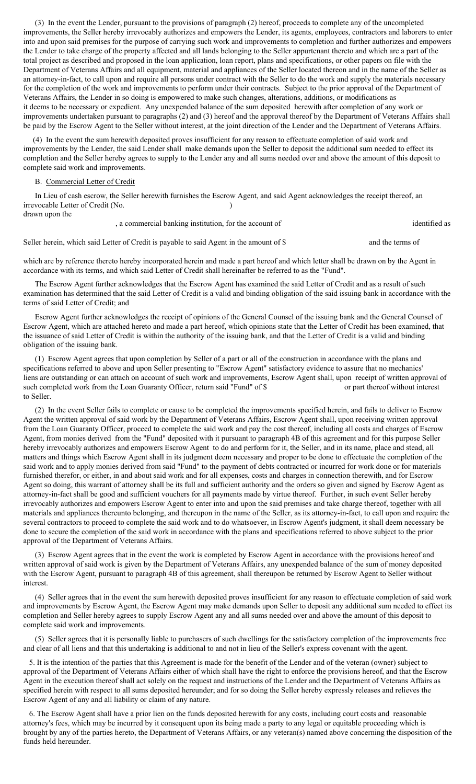(3) In the event the Lender, pursuant to the provisions of paragraph (2) hereof, proceeds to complete any of the uncompleted improvements, the Seller hereby irrevocably authorizes and empowers the Lender, its agents, employees, contractors and laborers to enter into and upon said premises for the purpose of carrying such work and improvements to completion and further authorizes and empowers the Lender to take charge of the property affected and all lands belonging to the Seller appurtenant thereto and which are a part of the total project as described and proposed in the loan application, loan report, plans and specifications, or other papers on file with the Department of Veterans Affairs and all equipment, material and appliances of the Seller located thereon and in the name of the Seller as an attorney-in-fact, to call upon and require all persons under contract with the Seller to do the work and supply the materials necessary for the completion of the work and improvements to perform under their contracts. Subject to the prior approval of the Department of Veterans Affairs, the Lender in so doing is empowered to make such changes, alterations, additions, or modifications as it deems to be necessary or expedient. Any unexpended balance of the sum deposited herewith after completion of any work or improvements undertaken pursuant to paragraphs (2) and (3) hereof and the approval thereof by the Department of Veterans Affairs shall be paid by the Escrow Agent to the Seller without interest, at the joint direction of the Lender and the Department of Veterans Affairs.

 (4) In the event the sum herewith deposited proves insufficient for any reason to effectuate completion of said work and improvements by the Lender, the said Lender shall make demands upon the Seller to deposit the additional sum needed to effect its completion and the Seller hereby agrees to supply to the Lender any and all sums needed over and above the amount of this deposit to complete said work and improvements.

### B. Commercial Letter of Credit

 In Lieu of cash escrow, the Seller herewith furnishes the Escrow Agent, and said Agent acknowledges the receipt thereof, an irrevocable Letter of Credit (No. ) drawn upon the

, a commercial banking institution, for the account of identified as

and the terms of Seller herein, which said Letter of Credit is payable to said Agent in the amount of \$

which are by reference thereto hereby incorporated herein and made a part hereof and which letter shall be drawn on by the Agent in accordance with its terms, and which said Letter of Credit shall hereinafter be referred to as the "Fund".

 The Escrow Agent further acknowledges that the Escrow Agent has examined the said Letter of Credit and as a result of such examination has determined that the said Letter of Credit is a valid and binding obligation of the said issuing bank in accordance with the terms of said Letter of Credit; and

 Escrow Agent further acknowledges the receipt of opinions of the General Counsel of the issuing bank and the General Counsel of Escrow Agent, which are attached hereto and made a part hereof, which opinions state that the Letter of Credit has been examined, that the issuance of said Letter of Credit is within the authority of the issuing bank, and that the Letter of Credit is a valid and binding obligation of the issuing bank.

 (1) Escrow Agent agrees that upon completion by Seller of a part or all of the construction in accordance with the plans and specifications referred to above and upon Seller presenting to "Escrow Agent" satisfactory evidence to assure that no mechanics' liens are outstanding or can attach on account of such work and improvements, Escrow Agent shall, upon receipt of written approval of or part thereof without interest to Seller. such completed work from the Loan Guaranty Officer, return said "Fund" of \$

 (2) In the event Seller fails to complete or cause to be completed the improvements specified herein, and fails to deliver to Escrow Agent the written approval of said work by the Department of Veterans Affairs, Escrow Agent shall, upon receiving written approval from the Loan Guaranty Officer, proceed to complete the said work and pay the cost thereof, including all costs and charges of Escrow Agent, from monies derived from the "Fund" deposited with it pursuant to paragraph 4B of this agreement and for this purpose Seller hereby irrevocably authorizes and empowers Escrow Agent to do and perform for it, the Seller, and in its name, place and stead, all matters and things which Escrow Agent shall in its judgment deem necessary and proper to be done to effectuate the completion of the said work and to apply monies derived from said "Fund" to the payment of debts contracted or incurred for work done or for materials furnished therefor, or either, in and about said work and for all expenses, costs and charges in connection therewith, and for Escrow Agent so doing, this warrant of attorney shall be its full and sufficient authority and the orders so given and signed by Escrow Agent as attorney-in-fact shall be good and sufficient vouchers for all payments made by virtue thereof. Further, in such event Seller hereby irrevocably authorizes and empowers Escrow Agent to enter into and upon the said premises and take charge thereof, together with all materials and appliances thereunto belonging, and thereupon in the name of the Seller, as its attorney-in-fact, to call upon and require the several contractors to proceed to complete the said work and to do whatsoever, in Escrow Agent's judgment, it shall deem necessary be done to secure the completion of the said work in accordance with the plans and specifications referred to above subject to the prior approval of the Department of Veterans Affairs.

 (3) Escrow Agent agrees that in the event the work is completed by Escrow Agent in accordance with the provisions hereof and written approval of said work is given by the Department of Veterans Affairs, any unexpended balance of the sum of money deposited with the Escrow Agent, pursuant to paragraph 4B of this agreement, shall thereupon be returned by Escrow Agent to Seller without interest.

 (4) Seller agrees that in the event the sum herewith deposited proves insufficient for any reason to effectuate completion of said work and improvements by Escrow Agent, the Escrow Agent may make demands upon Seller to deposit any additional sum needed to effect its completion and Seller hereby agrees to supply Escrow Agent any and all sums needed over and above the amount of this deposit to complete said work and improvements.

 (5) Seller agrees that it is personally liable to purchasers of such dwellings for the satisfactory completion of the improvements free and clear of all liens and that this undertaking is additional to and not in lieu of the Seller's express covenant with the agent.

 5. It is the intention of the parties that this Agreement is made for the benefit of the Lender and of the veteran (owner) subject to approval of the Department of Veterans Affairs either of which shall have the right to enforce the provisions hereof, and that the Escrow Agent in the execution thereof shall act solely on the request and instructions of the Lender and the Department of Veterans Affairs as specified herein with respect to all sums deposited hereunder; and for so doing the Seller hereby expressly releases and relieves the Escrow Agent of any and all liability or claim of any nature.

 6. The Escrow Agent shall have a prior lien on the funds deposited herewith for any costs, including court costs and reasonable attorney's fees, which may be incurred by it consequent upon its being made a party to any legal or equitable proceeding which is brought by any of the parties hereto, the Department of Veterans Affairs, or any veteran(s) named above concerning the disposition of the funds held hereunder.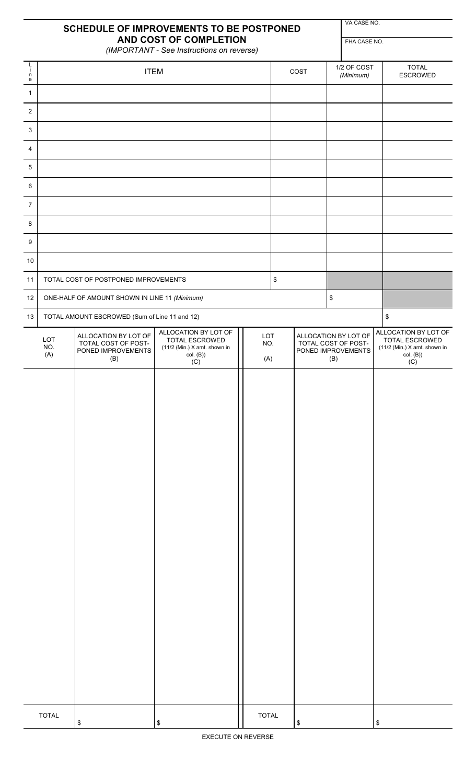|                                |                                               | <b>SCHEDULE OF IMPROVEMENTS TO BE POSTPONED</b><br>AND COST OF COMPLETION<br>(IMPORTANT - See Instructions on reverse) |                                                                          | VA CASE NO.<br>FHA CASE NO. |      |                                                                          |                          |    |                                                                          |
|--------------------------------|-----------------------------------------------|------------------------------------------------------------------------------------------------------------------------|--------------------------------------------------------------------------|-----------------------------|------|--------------------------------------------------------------------------|--------------------------|----|--------------------------------------------------------------------------|
| $\frac{L}{i}$<br>$\frac{n}{e}$ |                                               | <b>ITEM</b>                                                                                                            |                                                                          |                             |      | COST                                                                     | 1/2 OF COST<br>(Minimum) |    | <b>TOTAL</b><br><b>ESCROWED</b>                                          |
| $\mathbf{1}$                   |                                               |                                                                                                                        |                                                                          |                             |      |                                                                          |                          |    |                                                                          |
| $\overline{2}$                 |                                               |                                                                                                                        |                                                                          |                             |      |                                                                          |                          |    |                                                                          |
| 3                              |                                               |                                                                                                                        |                                                                          |                             |      |                                                                          |                          |    |                                                                          |
| $\overline{4}$                 |                                               |                                                                                                                        |                                                                          |                             |      |                                                                          |                          |    |                                                                          |
| 5                              |                                               |                                                                                                                        |                                                                          |                             |      |                                                                          |                          |    |                                                                          |
| 6                              |                                               |                                                                                                                        |                                                                          |                             |      |                                                                          |                          |    |                                                                          |
| $\overline{7}$                 |                                               |                                                                                                                        |                                                                          |                             |      |                                                                          |                          |    |                                                                          |
| 8                              |                                               |                                                                                                                        |                                                                          |                             |      |                                                                          |                          |    |                                                                          |
| 9                              |                                               |                                                                                                                        |                                                                          |                             |      |                                                                          |                          |    |                                                                          |
| 10                             |                                               |                                                                                                                        |                                                                          |                             |      |                                                                          |                          |    |                                                                          |
| 11                             |                                               | TOTAL COST OF POSTPONED IMPROVEMENTS                                                                                   |                                                                          |                             | $\,$ |                                                                          |                          |    |                                                                          |
| 12                             | ONE-HALF OF AMOUNT SHOWN IN LINE 11 (Minimum) |                                                                                                                        |                                                                          |                             |      |                                                                          | \$                       |    |                                                                          |
| 13                             |                                               | TOTAL AMOUNT ESCROWED (Sum of Line 11 and 12)                                                                          | ALLOCATION BY LOT OF                                                     |                             |      |                                                                          |                          |    | \$<br>ALLOCATION BY LOT OF                                               |
|                                | LOT<br>NO.<br>(A)                             | ALLOCATION BY LOT OF<br>TOTAL COST OF POST-<br>PONED IMPROVEMENTS<br>(B)                                               | <b>TOTAL ESCROWED</b><br>(11/2 (Min.) X amt. shown in<br>col. (B)<br>(C) | LOT<br>NO.<br>(A)           |      | ALLOCATION BY LOT OF<br>TOTAL COST OF POST-<br>PONED IMPROVEMENTS<br>(B) |                          |    | <b>TOTAL ESCROWED</b><br>(11/2 (Min.) X amt. shown in<br>col. (B)<br>(C) |
|                                |                                               |                                                                                                                        |                                                                          |                             |      |                                                                          |                          |    |                                                                          |
|                                | <b>TOTAL</b>                                  |                                                                                                                        | \$                                                                       | <b>TOTAL</b>                |      |                                                                          |                          | \$ |                                                                          |